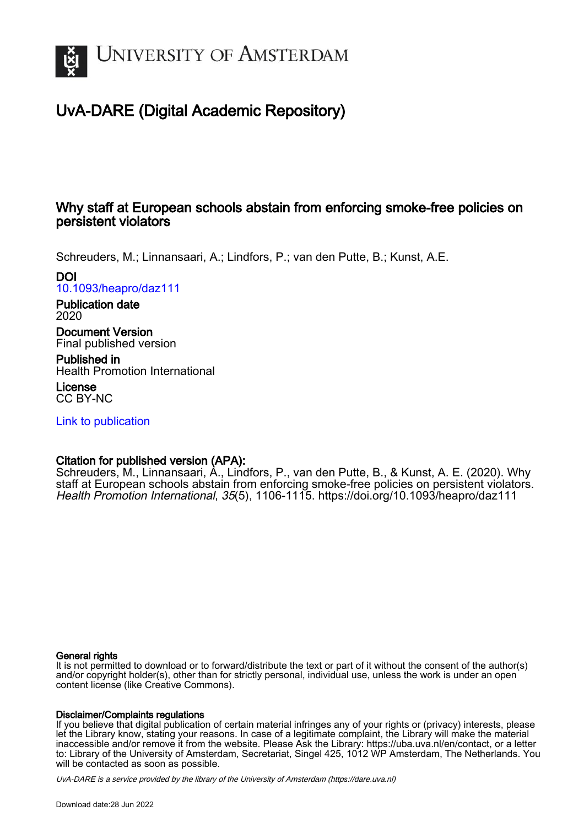

# UvA-DARE (Digital Academic Repository)

# Why staff at European schools abstain from enforcing smoke-free policies on persistent violators

Schreuders, M.; Linnansaari, A.; Lindfors, P.; van den Putte, B.; Kunst, A.E.

DOI

[10.1093/heapro/daz111](https://doi.org/10.1093/heapro/daz111)

Publication date 2020

Document Version Final published version

Published in Health Promotion International

License CC BY-NC

[Link to publication](https://dare.uva.nl/personal/pure/en/publications/why-staff-at-european-schools-abstain-from-enforcing-smokefree-policies-on-persistent-violators(75ec996a-0dcf-4b85-bcd4-0f60d12abd5b).html)

# Citation for published version (APA):

Schreuders, M., Linnansaari, A., Lindfors, P., van den Putte, B., & Kunst, A. E. (2020). Why staff at European schools abstain from enforcing smoke-free policies on persistent violators. Health Promotion International, 35(5), 1106-1115.<https://doi.org/10.1093/heapro/daz111>

# General rights

It is not permitted to download or to forward/distribute the text or part of it without the consent of the author(s) and/or copyright holder(s), other than for strictly personal, individual use, unless the work is under an open content license (like Creative Commons).

# Disclaimer/Complaints regulations

If you believe that digital publication of certain material infringes any of your rights or (privacy) interests, please let the Library know, stating your reasons. In case of a legitimate complaint, the Library will make the material inaccessible and/or remove it from the website. Please Ask the Library: https://uba.uva.nl/en/contact, or a letter to: Library of the University of Amsterdam, Secretariat, Singel 425, 1012 WP Amsterdam, The Netherlands. You will be contacted as soon as possible.

UvA-DARE is a service provided by the library of the University of Amsterdam (http*s*://dare.uva.nl)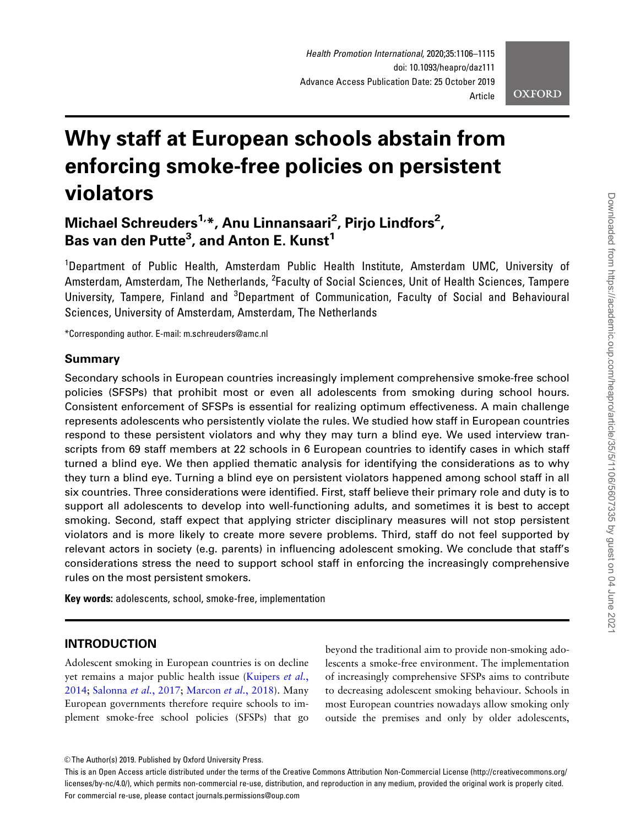# Why staff at European schools abstain from enforcing smoke-free policies on persistent violators

# Michael Schreuders<sup>1,</sup>\*, Anu Linnansaari<sup>2</sup>, Pirjo Lindfors<sup>2</sup>, Bas van den Putte $^3$ , and Anton E. Kunst $^1$

<sup>1</sup>Department of Public Health, Amsterdam Public Health Institute, Amsterdam UMC, University of Amsterdam, Amsterdam, The Netherlands, <sup>2</sup>Faculty of Social Sciences, Unit of Health Sciences, Tampere University, Tampere, Finland and <sup>3</sup>Department of Communication, Faculty of Social and Behavioural Sciences, University of Amsterdam, Amsterdam, The Netherlands

\*Corresponding author. E-mail: m.schreuders@amc.nl

#### Summary

Secondary schools in European countries increasingly implement comprehensive smoke-free school policies (SFSPs) that prohibit most or even all adolescents from smoking during school hours. Consistent enforcement of SFSPs is essential for realizing optimum effectiveness. A main challenge represents adolescents who persistently violate the rules. We studied how staff in European countries respond to these persistent violators and why they may turn a blind eye. We used interview transcripts from 69 staff members at 22 schools in 6 European countries to identify cases in which staff turned a blind eye. We then applied thematic analysis for identifying the considerations as to why they turn a blind eye. Turning a blind eye on persistent violators happened among school staff in all six countries. Three considerations were identified. First, staff believe their primary role and duty is to support all adolescents to develop into well-functioning adults, and sometimes it is best to accept smoking. Second, staff expect that applying stricter disciplinary measures will not stop persistent violators and is more likely to create more severe problems. Third, staff do not feel supported by relevant actors in society (e.g. parents) in influencing adolescent smoking. We conclude that staff's considerations stress the need to support school staff in enforcing the increasingly comprehensive rules on the most persistent smokers.

Key words: adolescents, school, smoke-free, implementation

## INTRODUCTION

Adolescent smoking in European countries is on decline yet remains a major public health issue [\(Kuipers](#page-9-0) et al., [2014](#page-9-0); [Salonna](#page-10-0) et al., 2017; [Marcon](#page-10-0) et al., 2018). Many European governments therefore require schools to implement smoke-free school policies (SFSPs) that go beyond the traditional aim to provide non-smoking adolescents a smoke-free environment. The implementation of increasingly comprehensive SFSPs aims to contribute to decreasing adolescent smoking behaviour. Schools in most European countries nowadays allow smoking only outside the premises and only by older adolescents,

<sup>©</sup> The Author(s) 2019. Published by Oxford University Press.

This is an Open Access article distributed under the terms of the Creative Commons Attribution Non-Commercial License (http://creativecommons.org/ licenses/by-nc/4.0/), which permits non-commercial re-use, distribution, and reproduction in any medium, provided the original work is properly cited. For commercial re-use, please contact journals.permissions@oup.com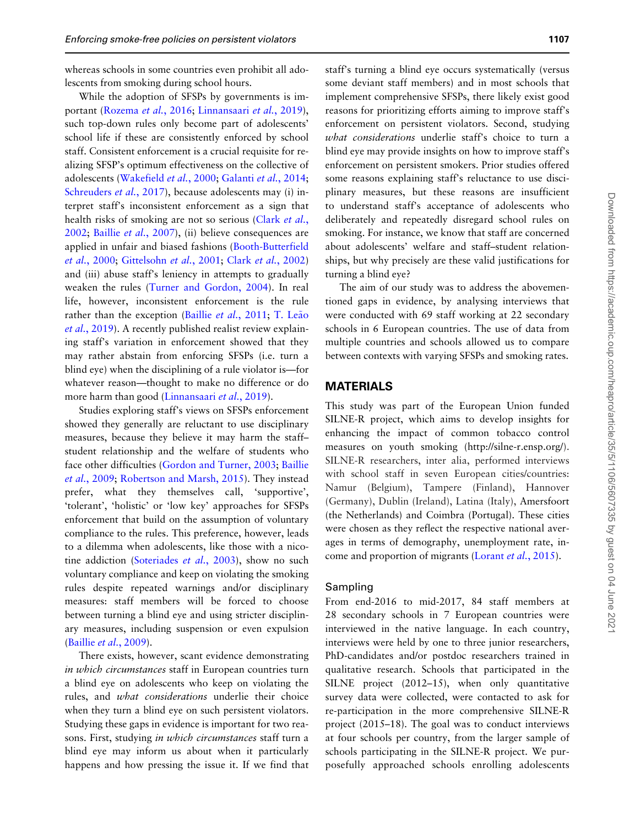whereas schools in some countries even prohibit all adolescents from smoking during school hours.

While the adoption of SFSPs by governments is important [\(Rozema](#page-10-0) et al., 2016; [Linnansaari](#page-10-0) et al., 2019), such top-down rules only become part of adolescents' school life if these are consistently enforced by school staff. Consistent enforcement is a crucial requisite for realizing SFSP's optimum effectiveness on the collective of adolescents [\(Wakefield](#page-10-0) et al., 2000; [Galanti](#page-9-0) et al., 2014; [Schreuders](#page-10-0) *et al.*, 2017), because adolescents may (i) interpret staff's inconsistent enforcement as a sign that health risks of smoking are not so serious ([Clark](#page-9-0) et al., [2002](#page-9-0); Baillie et al.[, 2007](#page-9-0)), (ii) believe consequences are applied in unfair and biased fashions ([Booth-Butterfield](#page-9-0) et al.[, 2000](#page-9-0); [Gittelsohn](#page-9-0) et al., 2001; Clark et al.[, 2002\)](#page-9-0) and (iii) abuse staff's leniency in attempts to gradually weaken the rules ([Turner and Gordon, 2004](#page-10-0)). In real life, however, inconsistent enforcement is the rule rather than the exception (Baillie et al.[, 2011;](#page-9-0) [T. Le](#page-9-0)ã[o](#page-9-0) et al.[, 2019\)](#page-9-0). A recently published realist review explaining staff's variation in enforcement showed that they may rather abstain from enforcing SFSPs (i.e. turn a blind eye) when the disciplining of a rule violator is—for whatever reason—thought to make no difference or do more harm than good ([Linnansaari](#page-10-0) et al., 2019).

Studies exploring staff's views on SFSPs enforcement showed they generally are reluctant to use disciplinary measures, because they believe it may harm the staff– student relationship and the welfare of students who face other difficulties ([Gordon and Turner, 2003](#page-9-0); [Baillie](#page-9-0) et al.[, 2009;](#page-9-0) [Robertson and Marsh, 2015\)](#page-10-0). They instead prefer, what they themselves call, 'supportive', 'tolerant', 'holistic' or 'low key' approaches for SFSPs enforcement that build on the assumption of voluntary compliance to the rules. This preference, however, leads to a dilemma when adolescents, like those with a nico-tine addiction [\(Soteriades](#page-10-0) et al., 2003), show no such voluntary compliance and keep on violating the smoking rules despite repeated warnings and/or disciplinary measures: staff members will be forced to choose between turning a blind eye and using stricter disciplinary measures, including suspension or even expulsion [\(Baillie](#page-9-0) et al., 2009).

There exists, however, scant evidence demonstrating in which circumstances staff in European countries turn a blind eye on adolescents who keep on violating the rules, and what considerations underlie their choice when they turn a blind eye on such persistent violators. Studying these gaps in evidence is important for two reasons. First, studying in which circumstances staff turn a blind eye may inform us about when it particularly happens and how pressing the issue it. If we find that staff's turning a blind eye occurs systematically (versus some deviant staff members) and in most schools that implement comprehensive SFSPs, there likely exist good reasons for prioritizing efforts aiming to improve staff's enforcement on persistent violators. Second, studying what considerations underlie staff's choice to turn a blind eye may provide insights on how to improve staff's enforcement on persistent smokers. Prior studies offered some reasons explaining staff's reluctance to use disciplinary measures, but these reasons are insufficient to understand staff's acceptance of adolescents who deliberately and repeatedly disregard school rules on smoking. For instance, we know that staff are concerned about adolescents' welfare and staff–student relationships, but why precisely are these valid justifications for turning a blind eye?

The aim of our study was to address the abovementioned gaps in evidence, by analysing interviews that were conducted with 69 staff working at 22 secondary schools in 6 European countries. The use of data from multiple countries and schools allowed us to compare between contexts with varying SFSPs and smoking rates.

#### **MATERIALS**

This study was part of the European Union funded SILNE-R project, which aims to develop insights for enhancing the impact of common tobacco control measures on youth smoking (<http://silne-r.ensp.org/>). SILNE-R researchers, inter alia, performed interviews with school staff in seven European cities/countries: Namur (Belgium), Tampere (Finland), Hannover (Germany), Dublin (Ireland), Latina (Italy), Amersfoort (the Netherlands) and Coimbra (Portugal). These cities were chosen as they reflect the respective national averages in terms of demography, unemployment rate, income and proportion of migrants ([Lorant](#page-10-0) et al., 2015).

#### Sampling

From end-2016 to mid-2017, 84 staff members at 28 secondary schools in 7 European countries were interviewed in the native language. In each country, interviews were held by one to three junior researchers, PhD-candidates and/or postdoc researchers trained in qualitative research. Schools that participated in the SILNE project (2012–15), when only quantitative survey data were collected, were contacted to ask for re-participation in the more comprehensive SILNE-R project (2015–18). The goal was to conduct interviews at four schools per country, from the larger sample of schools participating in the SILNE-R project. We purposefully approached schools enrolling adolescents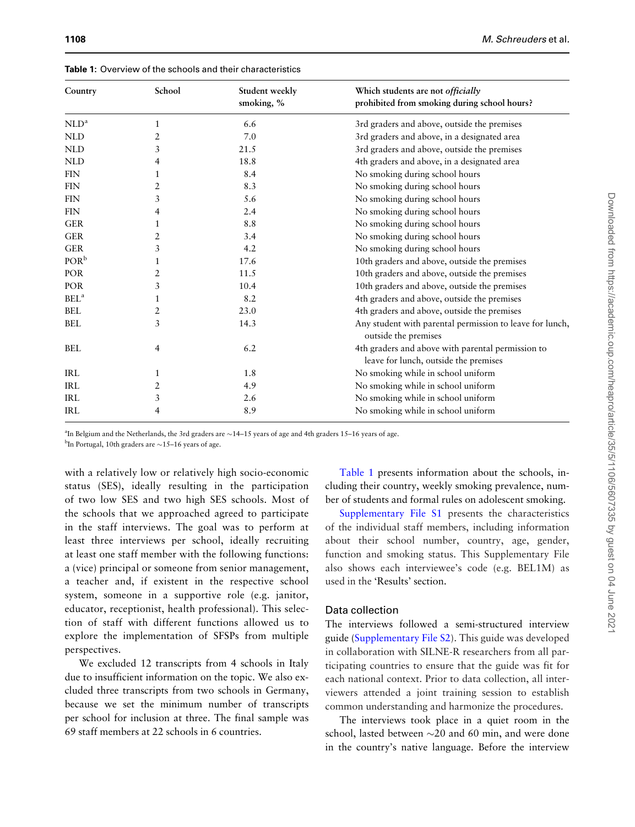<span id="page-3-0"></span>Table 1: Overview of the schools and their characteristics

| Country          | School | Student weekly<br>smoking, % | Which students are not officially<br>prohibited from smoking during school hours?          |
|------------------|--------|------------------------------|--------------------------------------------------------------------------------------------|
| NLD <sup>a</sup> | 1      | 6.6                          | 3rd graders and above, outside the premises                                                |
| <b>NLD</b>       | 2      | 7.0                          | 3rd graders and above, in a designated area                                                |
| <b>NLD</b>       | 3      | 21.5                         | 3rd graders and above, outside the premises                                                |
| <b>NLD</b>       | 4      | 18.8                         | 4th graders and above, in a designated area                                                |
| <b>FIN</b>       | 1      | 8.4                          | No smoking during school hours                                                             |
| <b>FIN</b>       | 2      | 8.3                          | No smoking during school hours                                                             |
| <b>FIN</b>       | 3      | 5.6                          | No smoking during school hours                                                             |
| <b>FIN</b>       | 4      | 2.4                          | No smoking during school hours                                                             |
| <b>GER</b>       | 1      | 8.8                          | No smoking during school hours                                                             |
| <b>GER</b>       | 2      | 3.4                          | No smoking during school hours                                                             |
| <b>GER</b>       | 3      | 4.2                          | No smoking during school hours                                                             |
| POR <sup>b</sup> | 1      | 17.6                         | 10th graders and above, outside the premises                                               |
| POR              | 2      | 11.5                         | 10th graders and above, outside the premises                                               |
| POR              | 3      | 10.4                         | 10th graders and above, outside the premises                                               |
| BEL <sup>a</sup> | 1      | 8.2                          | 4th graders and above, outside the premises                                                |
| <b>BEL</b>       | 2      | 23.0                         | 4th graders and above, outside the premises                                                |
| <b>BEL</b>       | 3      | 14.3                         | Any student with parental permission to leave for lunch,<br>outside the premises           |
| <b>BEL</b>       | 4      | 6.2                          | 4th graders and above with parental permission to<br>leave for lunch, outside the premises |
| <b>IRL</b>       | 1      | 1.8                          | No smoking while in school uniform                                                         |
| <b>IRL</b>       | 2      | 4.9                          | No smoking while in school uniform                                                         |
| <b>IRL</b>       | 3      | 2.6                          | No smoking while in school uniform                                                         |
| <b>IRL</b>       | 4      | 8.9                          | No smoking while in school uniform                                                         |

<sup>a</sup>In Belgium and the Netherlands, the 3rd graders are  $\sim$ 14-15 years of age and 4th graders 15-16 years of age.

<sup>b</sup>In Portugal, 10th graders are  $\sim$ 15-16 years of age.

with a relatively low or relatively high socio-economic status (SES), ideally resulting in the participation of two low SES and two high SES schools. Most of the schools that we approached agreed to participate in the staff interviews. The goal was to perform at least three interviews per school, ideally recruiting at least one staff member with the following functions: a (vice) principal or someone from senior management, a teacher and, if existent in the respective school system, someone in a supportive role (e.g. janitor, educator, receptionist, health professional). This selection of staff with different functions allowed us to explore the implementation of SFSPs from multiple perspectives.

We excluded 12 transcripts from 4 schools in Italy due to insufficient information on the topic. We also excluded three transcripts from two schools in Germany, because we set the minimum number of transcripts per school for inclusion at three. The final sample was 69 staff members at 22 schools in 6 countries.

Table 1 presents information about the schools, including their country, weekly smoking prevalence, number of students and formal rules on adolescent smoking.

[Supplementary File S1](https://academic.oup.com/heapro/article-lookup/doi/10.1093/heapro/daz111#supplementary-data) presents the characteristics of the individual staff members, including information about their school number, country, age, gender, function and smoking status. This Supplementary File also shows each interviewee's code (e.g. BEL1M) as used in the 'Results' section.

#### Data collection

The interviews followed a semi-structured interview guide [\(Supplementary File S2](https://academic.oup.com/heapro/article-lookup/doi/10.1093/heapro/daz111#supplementary-data)). This guide was developed in collaboration with SILNE-R researchers from all participating countries to ensure that the guide was fit for each national context. Prior to data collection, all interviewers attended a joint training session to establish common understanding and harmonize the procedures.

The interviews took place in a quiet room in the school, lasted between  $\sim$ 20 and 60 min, and were done in the country's native language. Before the interview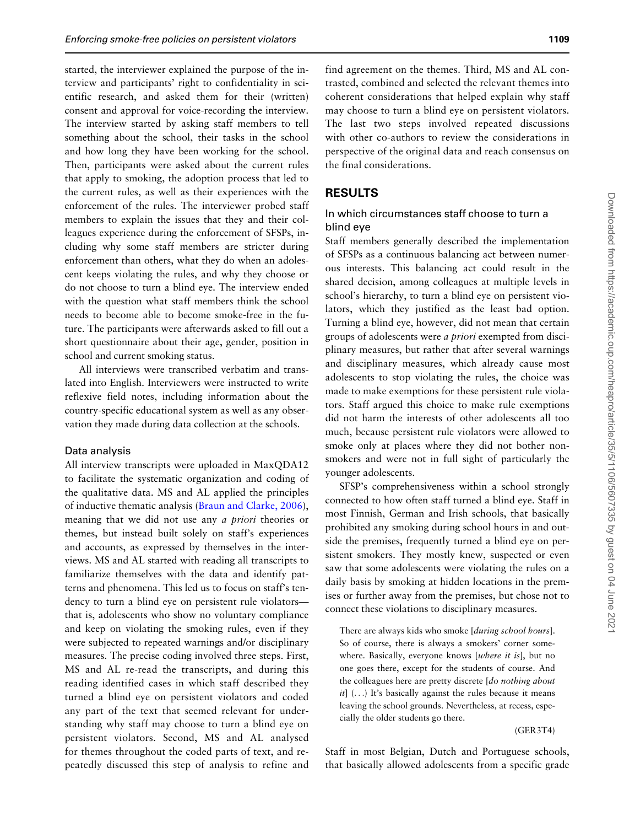started, the interviewer explained the purpose of the interview and participants' right to confidentiality in scientific research, and asked them for their (written) consent and approval for voice-recording the interview. The interview started by asking staff members to tell something about the school, their tasks in the school and how long they have been working for the school. Then, participants were asked about the current rules that apply to smoking, the adoption process that led to the current rules, as well as their experiences with the enforcement of the rules. The interviewer probed staff members to explain the issues that they and their colleagues experience during the enforcement of SFSPs, including why some staff members are stricter during enforcement than others, what they do when an adolescent keeps violating the rules, and why they choose or do not choose to turn a blind eye. The interview ended with the question what staff members think the school needs to become able to become smoke-free in the future. The participants were afterwards asked to fill out a short questionnaire about their age, gender, position in school and current smoking status.

All interviews were transcribed verbatim and translated into English. Interviewers were instructed to write reflexive field notes, including information about the country-specific educational system as well as any observation they made during data collection at the schools.

#### Data analysis

All interview transcripts were uploaded in MaxQDA12 to facilitate the systematic organization and coding of the qualitative data. MS and AL applied the principles of inductive thematic analysis ([Braun and Clarke, 2006](#page-9-0)), meaning that we did not use any a priori theories or themes, but instead built solely on staff's experiences and accounts, as expressed by themselves in the interviews. MS and AL started with reading all transcripts to familiarize themselves with the data and identify patterns and phenomena. This led us to focus on staff's tendency to turn a blind eye on persistent rule violators that is, adolescents who show no voluntary compliance and keep on violating the smoking rules, even if they were subjected to repeated warnings and/or disciplinary measures. The precise coding involved three steps. First, MS and AL re-read the transcripts, and during this reading identified cases in which staff described they turned a blind eye on persistent violators and coded any part of the text that seemed relevant for understanding why staff may choose to turn a blind eye on persistent violators. Second, MS and AL analysed for themes throughout the coded parts of text, and repeatedly discussed this step of analysis to refine and coherent considerations that helped explain why staff may choose to turn a blind eye on persistent violators. The last two steps involved repeated discussions with other co-authors to review the considerations in perspective of the original data and reach consensus on the final considerations.

#### **RESULTS**

#### In which circumstances staff choose to turn a blind eye

Staff members generally described the implementation of SFSPs as a continuous balancing act between numerous interests. This balancing act could result in the shared decision, among colleagues at multiple levels in school's hierarchy, to turn a blind eye on persistent violators, which they justified as the least bad option. Turning a blind eye, however, did not mean that certain groups of adolescents were a priori exempted from disciplinary measures, but rather that after several warnings and disciplinary measures, which already cause most adolescents to stop violating the rules, the choice was made to make exemptions for these persistent rule violators. Staff argued this choice to make rule exemptions did not harm the interests of other adolescents all too much, because persistent rule violators were allowed to smoke only at places where they did not bother nonsmokers and were not in full sight of particularly the younger adolescents.

SFSP's comprehensiveness within a school strongly connected to how often staff turned a blind eye. Staff in most Finnish, German and Irish schools, that basically prohibited any smoking during school hours in and outside the premises, frequently turned a blind eye on persistent smokers. They mostly knew, suspected or even saw that some adolescents were violating the rules on a daily basis by smoking at hidden locations in the premises or further away from the premises, but chose not to connect these violations to disciplinary measures.

There are always kids who smoke [during school hours]. So of course, there is always a smokers' corner somewhere. Basically, everyone knows [where it is], but no one goes there, except for the students of course. And the colleagues here are pretty discrete [do nothing about  $it]$  (...) It's basically against the rules because it means leaving the school grounds. Nevertheless, at recess, especially the older students go there.

#### (GER3T4)

Staff in most Belgian, Dutch and Portuguese schools, that basically allowed adolescents from a specific grade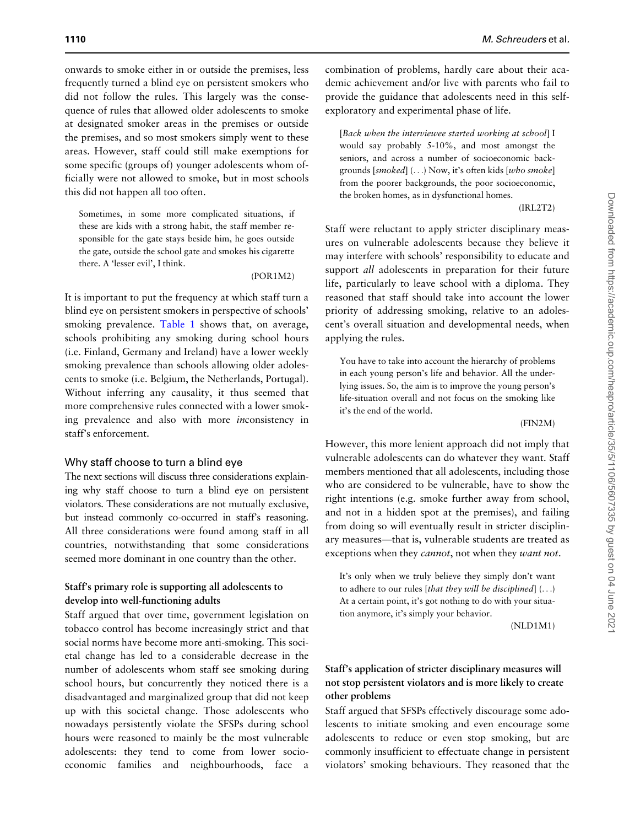onwards to smoke either in or outside the premises, less frequently turned a blind eye on persistent smokers who did not follow the rules. This largely was the consequence of rules that allowed older adolescents to smoke at designated smoker areas in the premises or outside the premises, and so most smokers simply went to these areas. However, staff could still make exemptions for some specific (groups of) younger adolescents whom officially were not allowed to smoke, but in most schools this did not happen all too often.

Sometimes, in some more complicated situations, if these are kids with a strong habit, the staff member responsible for the gate stays beside him, he goes outside the gate, outside the school gate and smokes his cigarette there. A 'lesser evil', I think.

(POR1M2)

It is important to put the frequency at which staff turn a blind eye on persistent smokers in perspective of schools' smoking prevalence. [Table 1](#page-3-0) shows that, on average, schools prohibiting any smoking during school hours (i.e. Finland, Germany and Ireland) have a lower weekly smoking prevalence than schools allowing older adolescents to smoke (i.e. Belgium, the Netherlands, Portugal). Without inferring any causality, it thus seemed that more comprehensive rules connected with a lower smoking prevalence and also with more inconsistency in staff's enforcement.

#### Why staff choose to turn a blind eye

The next sections will discuss three considerations explaining why staff choose to turn a blind eye on persistent violators. These considerations are not mutually exclusive, but instead commonly co-occurred in staff's reasoning. All three considerations were found among staff in all countries, notwithstanding that some considerations seemed more dominant in one country than the other.

#### Staff's primary role is supporting all adolescents to develop into well-functioning adults

Staff argued that over time, government legislation on tobacco control has become increasingly strict and that social norms have become more anti-smoking. This societal change has led to a considerable decrease in the number of adolescents whom staff see smoking during school hours, but concurrently they noticed there is a disadvantaged and marginalized group that did not keep up with this societal change. Those adolescents who nowadays persistently violate the SFSPs during school hours were reasoned to mainly be the most vulnerable adolescents: they tend to come from lower socioeconomic families and neighbourhoods, face a

combination of problems, hardly care about their academic achievement and/or live with parents who fail to provide the guidance that adolescents need in this selfexploratory and experimental phase of life.

[Back when the interviewee started working at school] I would say probably 5-10%, and most amongst the seniors, and across a number of socioeconomic backgrounds  $[smoked]$  (...) Now, it's often kids  $[who\; smoke]$ from the poorer backgrounds, the poor socioeconomic, the broken homes, as in dysfunctional homes.

(IRL2T2)

Staff were reluctant to apply stricter disciplinary measures on vulnerable adolescents because they believe it may interfere with schools' responsibility to educate and support *all* adolescents in preparation for their future life, particularly to leave school with a diploma. They reasoned that staff should take into account the lower priority of addressing smoking, relative to an adolescent's overall situation and developmental needs, when applying the rules.

You have to take into account the hierarchy of problems in each young person's life and behavior. All the underlying issues. So, the aim is to improve the young person's life-situation overall and not focus on the smoking like it's the end of the world.

(FIN2M)

However, this more lenient approach did not imply that vulnerable adolescents can do whatever they want. Staff members mentioned that all adolescents, including those who are considered to be vulnerable, have to show the right intentions (e.g. smoke further away from school, and not in a hidden spot at the premises), and failing from doing so will eventually result in stricter disciplinary measures—that is, vulnerable students are treated as exceptions when they *cannot*, not when they *want not*.

It's only when we truly believe they simply don't want to adhere to our rules [that they will be disciplined]  $(...)$ At a certain point, it's got nothing to do with your situation anymore, it's simply your behavior.

(NLD1M1)

# Staff's application of stricter disciplinary measures will not stop persistent violators and is more likely to create other problems

Staff argued that SFSPs effectively discourage some adolescents to initiate smoking and even encourage some adolescents to reduce or even stop smoking, but are commonly insufficient to effectuate change in persistent violators' smoking behaviours. They reasoned that the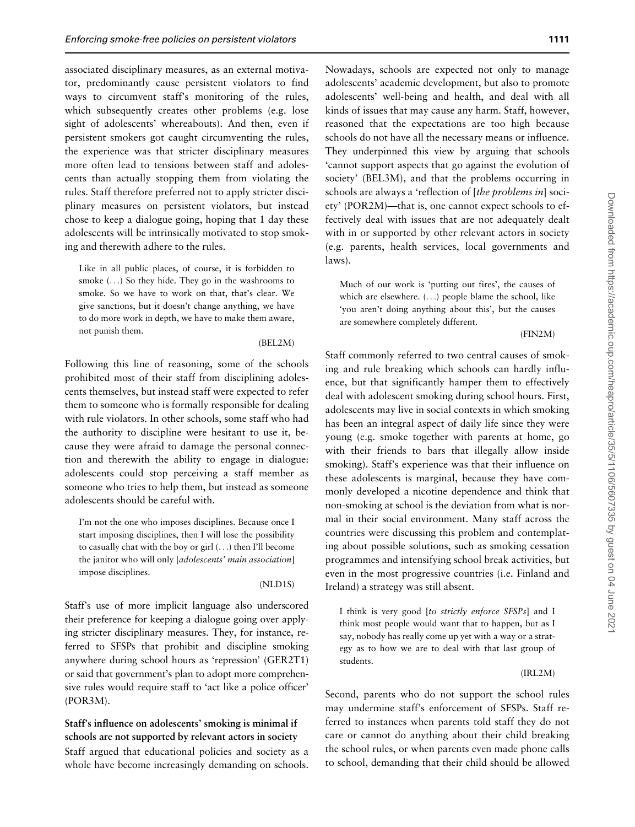associated disciplinary measures, as an external motivator, predominantly cause persistent violators to find ways to circumvent staff's monitoring of the rules, which subsequently creates other problems (e.g. lose sight of adolescents' whereabouts). And then, even if persistent smokers got caught circumventing the rules, the experience was that stricter disciplinary measures more often lead to tensions between staff and adolescents than actually stopping them from violating the rules. Staff therefore preferred not to apply stricter disciplinary measures on persistent violators, but instead chose to keep a dialogue going, hoping that 1 day these adolescents will be intrinsically motivated to stop smoking and therewith adhere to the rules.

Like in all public places, of course, it is forbidden to smoke (...) So they hide. They go in the washrooms to smoke. So we have to work on that, that's clear. We give sanctions, but it doesn't change anything, we have to do more work in depth, we have to make them aware, not punish them.

#### (BEL2M)

Following this line of reasoning, some of the schools prohibited most of their staff from disciplining adolescents themselves, but instead staff were expected to refer them to someone who is formally responsible for dealing with rule violators. In other schools, some staff who had the authority to discipline were hesitant to use it, because they were afraid to damage the personal connection and therewith the ability to engage in dialogue: adolescents could stop perceiving a staff member as someone who tries to help them, but instead as someone adolescents should be careful with.

I'm not the one who imposes disciplines. Because once I start imposing disciplines, then I will lose the possibility to casually chat with the boy or girl (...) then I'll become the janitor who will only [adolescents' main association] impose disciplines.

#### (NLD1S)

Staff's use of more implicit language also underscored their preference for keeping a dialogue going over applying stricter disciplinary measures. They, for instance, referred to SFSPs that prohibit and discipline smoking anywhere during school hours as 'repression' (GER2T1) or said that government's plan to adopt more comprehensive rules would require staff to 'act like a police officer' (POR3M).

Staff's influence on adolescents' smoking is minimal if schools are not supported by relevant actors in society Staff argued that educational policies and society as a whole have become increasingly demanding on schools. Nowadays, schools are expected not only to manage adolescents' academic development, but also to promote adolescents' well-being and health, and deal with all kinds of issues that may cause any harm. Staff, however, reasoned that the expectations are too high because schools do not have all the necessary means or influence. They underpinned this view by arguing that schools 'cannot support aspects that go against the evolution of society' (BEL3M), and that the problems occurring in schools are always a 'reflection of [the problems in] society' (POR2M)—that is, one cannot expect schools to effectively deal with issues that are not adequately dealt with in or supported by other relevant actors in society (e.g. parents, health services, local governments and laws).

Much of our work is 'putting out fires', the causes of which are elsewhere. (...) people blame the school, like 'you aren't doing anything about this', but the causes are somewhere completely different.

#### (FIN2M)

Staff commonly referred to two central causes of smoking and rule breaking which schools can hardly influence, but that significantly hamper them to effectively deal with adolescent smoking during school hours. First, adolescents may live in social contexts in which smoking has been an integral aspect of daily life since they were young (e.g. smoke together with parents at home, go with their friends to bars that illegally allow inside smoking). Staff's experience was that their influence on these adolescents is marginal, because they have commonly developed a nicotine dependence and think that non-smoking at school is the deviation from what is normal in their social environment. Many staff across the countries were discussing this problem and contemplating about possible solutions, such as smoking cessation programmes and intensifying school break activities, but even in the most progressive countries (i.e. Finland and Ireland) a strategy was still absent.

I think is very good [to strictly enforce SFSPs] and I think most people would want that to happen, but as I say, nobody has really come up yet with a way or a strategy as to how we are to deal with that last group of students.

(IRL2M)

Second, parents who do not support the school rules may undermine staff's enforcement of SFSPs. Staff referred to instances when parents told staff they do not care or cannot do anything about their child breaking the school rules, or when parents even made phone calls to school, demanding that their child should be allowed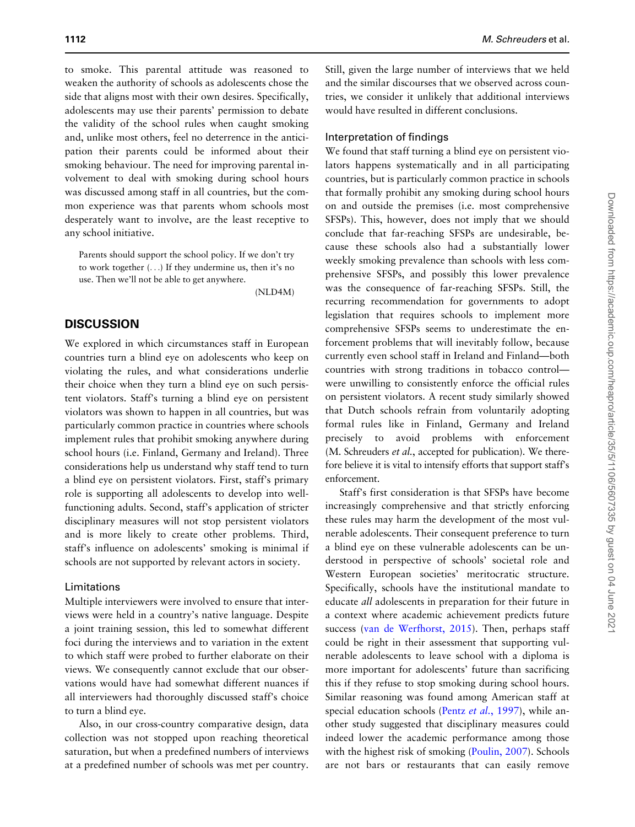to smoke. This parental attitude was reasoned to weaken the authority of schools as adolescents chose the side that aligns most with their own desires. Specifically, adolescents may use their parents' permission to debate the validity of the school rules when caught smoking and, unlike most others, feel no deterrence in the anticipation their parents could be informed about their smoking behaviour. The need for improving parental involvement to deal with smoking during school hours was discussed among staff in all countries, but the common experience was that parents whom schools most desperately want to involve, are the least receptive to any school initiative.

Parents should support the school policy. If we don't try to work together (...) If they undermine us, then it's no use. Then we'll not be able to get anywhere.

(NLD4M)

## **DISCUSSION**

We explored in which circumstances staff in European countries turn a blind eye on adolescents who keep on violating the rules, and what considerations underlie their choice when they turn a blind eye on such persistent violators. Staff's turning a blind eye on persistent violators was shown to happen in all countries, but was particularly common practice in countries where schools implement rules that prohibit smoking anywhere during school hours (i.e. Finland, Germany and Ireland). Three considerations help us understand why staff tend to turn a blind eye on persistent violators. First, staff's primary role is supporting all adolescents to develop into wellfunctioning adults. Second, staff's application of stricter disciplinary measures will not stop persistent violators and is more likely to create other problems. Third, staff's influence on adolescents' smoking is minimal if schools are not supported by relevant actors in society.

#### Limitations

Multiple interviewers were involved to ensure that interviews were held in a country's native language. Despite a joint training session, this led to somewhat different foci during the interviews and to variation in the extent to which staff were probed to further elaborate on their views. We consequently cannot exclude that our observations would have had somewhat different nuances if all interviewers had thoroughly discussed staff's choice to turn a blind eye.

Also, in our cross-country comparative design, data collection was not stopped upon reaching theoretical saturation, but when a predefined numbers of interviews at a predefined number of schools was met per country.

Still, given the large number of interviews that we held and the similar discourses that we observed across countries, we consider it unlikely that additional interviews would have resulted in different conclusions.

#### Interpretation of findings

We found that staff turning a blind eye on persistent violators happens systematically and in all participating countries, but is particularly common practice in schools that formally prohibit any smoking during school hours on and outside the premises (i.e. most comprehensive SFSPs). This, however, does not imply that we should conclude that far-reaching SFSPs are undesirable, because these schools also had a substantially lower weekly smoking prevalence than schools with less comprehensive SFSPs, and possibly this lower prevalence was the consequence of far-reaching SFSPs. Still, the recurring recommendation for governments to adopt legislation that requires schools to implement more comprehensive SFSPs seems to underestimate the enforcement problems that will inevitably follow, because currently even school staff in Ireland and Finland—both countries with strong traditions in tobacco control were unwilling to consistently enforce the official rules on persistent violators. A recent study similarly showed that Dutch schools refrain from voluntarily adopting formal rules like in Finland, Germany and Ireland precisely to avoid problems with enforcement (M. Schreuders et al., accepted for publication). We therefore believe it is vital to intensify efforts that support staff's enforcement.

Staff's first consideration is that SFSPs have become increasingly comprehensive and that strictly enforcing these rules may harm the development of the most vulnerable adolescents. Their consequent preference to turn a blind eye on these vulnerable adolescents can be understood in perspective of schools' societal role and Western European societies' meritocratic structure. Specifically, schools have the institutional mandate to educate all adolescents in preparation for their future in a context where academic achievement predicts future success [\(van de Werfhorst, 2015](#page-10-0)). Then, perhaps staff could be right in their assessment that supporting vulnerable adolescents to leave school with a diploma is more important for adolescents' future than sacrificing this if they refuse to stop smoking during school hours. Similar reasoning was found among American staff at special education schools (Pentz et al.[, 1997](#page-10-0)), while another study suggested that disciplinary measures could indeed lower the academic performance among those with the highest risk of smoking [\(Poulin, 2007](#page-10-0)). Schools are not bars or restaurants that can easily remove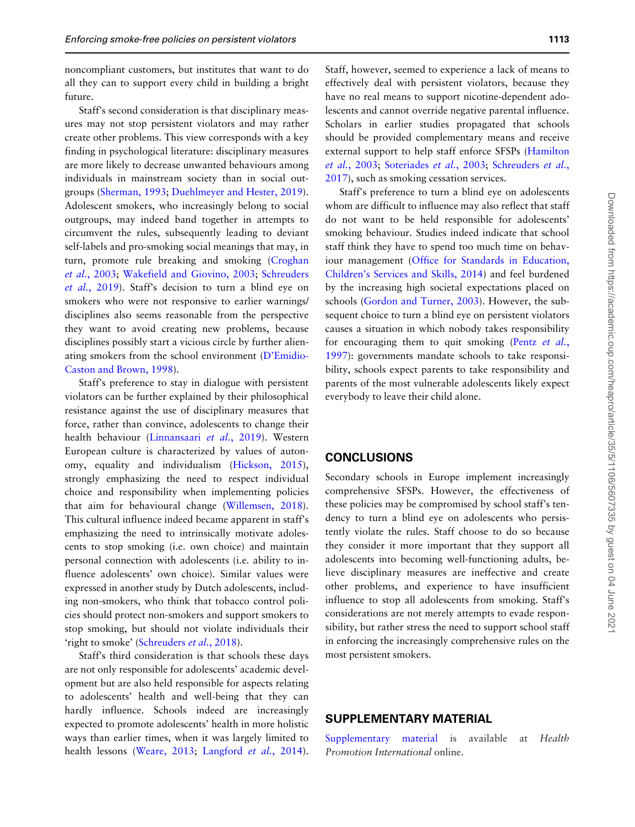noncompliant customers, but institutes that want to do all they can to support every child in building a bright future.

Staff's second consideration is that disciplinary measures may not stop persistent violators and may rather create other problems. This view corresponds with a key finding in psychological literature: disciplinary measures are more likely to decrease unwanted behaviours among individuals in mainstream society than in social outgroups ([Sherman, 1993](#page-10-0); [Duehlmeyer and Hester, 2019](#page-9-0)). Adolescent smokers, who increasingly belong to social outgroups, may indeed band together in attempts to circumvent the rules, subsequently leading to deviant self-labels and pro-smoking social meanings that may, in turn, promote rule breaking and smoking ([Croghan](#page-9-0) et al.[, 2003](#page-9-0); [Wakefield and Giovino, 2003](#page-10-0); [Schreuders](#page-10-0) et al.[, 2019](#page-10-0)). Staff's decision to turn a blind eye on smokers who were not responsive to earlier warnings/ disciplines also seems reasonable from the perspective they want to avoid creating new problems, because disciplines possibly start a vicious circle by further alienating smokers from the school environment [\(D'Emidio-](#page-9-0)[Caston and Brown, 1998](#page-9-0)).

Staff's preference to stay in dialogue with persistent violators can be further explained by their philosophical resistance against the use of disciplinary measures that force, rather than convince, adolescents to change their health behaviour [\(Linnansaari](#page-10-0) et al., 2019). Western European culture is characterized by values of autonomy, equality and individualism ([Hickson, 2015](#page-9-0)), strongly emphasizing the need to respect individual choice and responsibility when implementing policies that aim for behavioural change ([Willemsen, 2018](#page-10-0)). This cultural influence indeed became apparent in staff's emphasizing the need to intrinsically motivate adolescents to stop smoking (i.e. own choice) and maintain personal connection with adolescents (i.e. ability to influence adolescents' own choice). Similar values were expressed in another study by Dutch adolescents, including non-smokers, who think that tobacco control policies should protect non-smokers and support smokers to stop smoking, but should not violate individuals their 'right to smoke' [\(Schreuders](#page-10-0) et al., 2018).

Staff's third consideration is that schools these days are not only responsible for adolescents' academic development but are also held responsible for aspects relating to adolescents' health and well-being that they can hardly influence. Schools indeed are increasingly expected to promote adolescents' health in more holistic ways than earlier times, when it was largely limited to health lessons ([Weare, 2013](#page-10-0); [Langford](#page-9-0) et al., 2014).

Staff, however, seemed to experience a lack of means to effectively deal with persistent violators, because they have no real means to support nicotine-dependent adolescents and cannot override negative parental influence. Scholars in earlier studies propagated that schools should be provided complementary means and receive external support to help staff enforce SFSPs [\(Hamilton](#page-9-0) et al.[, 2003;](#page-9-0) [Soteriades](#page-10-0) et al., 2003; [Schreuders](#page-10-0) et al., [2017](#page-10-0)), such as smoking cessation services.

Staff's preference to turn a blind eye on adolescents whom are difficult to influence may also reflect that staff do not want to be held responsible for adolescents' smoking behaviour. Studies indeed indicate that school staff think they have to spend too much time on behaviour management ([Office for Standards in Education,](#page-10-0) [Children's Services and Skills, 2014\)](#page-10-0) and feel burdened by the increasing high societal expectations placed on schools [\(Gordon and Turner, 2003](#page-9-0)). However, the subsequent choice to turn a blind eye on persistent violators causes a situation in which nobody takes responsibility for encouraging them to quit smoking (Pentz [et al.](#page-10-0), [1997](#page-10-0)): governments mandate schools to take responsibility, schools expect parents to take responsibility and parents of the most vulnerable adolescents likely expect everybody to leave their child alone.

#### **CONCLUSIONS**

Secondary schools in Europe implement increasingly comprehensive SFSPs. However, the effectiveness of these policies may be compromised by school staff's tendency to turn a blind eye on adolescents who persistently violate the rules. Staff choose to do so because they consider it more important that they support all adolescents into becoming well-functioning adults, believe disciplinary measures are ineffective and create other problems, and experience to have insufficient influence to stop all adolescents from smoking. Staff's considerations are not merely attempts to evade responsibility, but rather stress the need to support school staff in enforcing the increasingly comprehensive rules on the most persistent smokers.

## SUPPLEMENTARY MATERIAL

[Supplementary material](https://academic.oup.com/heapro/article-lookup/doi/10.1093/heapro/daz111#supplementary-data) is available at Health Promotion International online.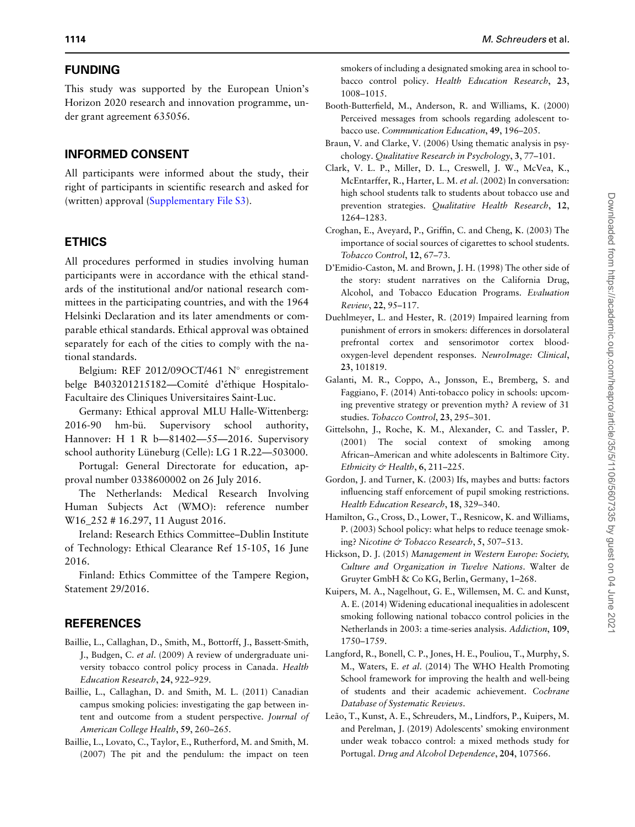### <span id="page-9-0"></span>FUNDING

This study was supported by the European Union's Horizon 2020 research and innovation programme, under grant agreement 635056.

#### INFORMED CONSENT

All participants were informed about the study, their right of participants in scientific research and asked for (written) approval [\(Supplementary File S3](https://academic.oup.com/heapro/article-lookup/doi/10.1093/heapro/daz111#supplementary-data)).

# ETHICS

All procedures performed in studies involving human participants were in accordance with the ethical standards of the institutional and/or national research committees in the participating countries, and with the 1964 Helsinki Declaration and its later amendments or comparable ethical standards. Ethical approval was obtained separately for each of the cities to comply with the national standards.

Belgium: REF 2012/09OCT/461  $N^{\circ}$  enregistrement belge B403201215182—Comité d'éthique Hospitalo-Facultaire des Cliniques Universitaires Saint-Luc.

Germany: Ethical approval MLU Halle-Wittenberg: 2016-90 hm-bü. Supervisory school authority, Hannover: H 1 R b—81402—55—2016. Supervisory school authority Lüneburg (Celle): LG 1 R.22-503000.

Portugal: General Directorate for education, approval number 0338600002 on 26 July 2016.

The Netherlands: Medical Research Involving Human Subjects Act (WMO): reference number W<sub>16</sub> 252 # 16.297, 11 August 2016.

Ireland: Research Ethics Committee–Dublin Institute of Technology: Ethical Clearance Ref 15-105, 16 June 2016.

Finland: Ethics Committee of the Tampere Region, Statement 29/2016.

# **REFERENCES**

- Baillie, L., Callaghan, D., Smith, M., Bottorff, J., Bassett-Smith, J., Budgen, C. et al. (2009) A review of undergraduate university tobacco control policy process in Canada. Health Education Research, 24, 922–929.
- Baillie, L., Callaghan, D. and Smith, M. L. (2011) Canadian campus smoking policies: investigating the gap between intent and outcome from a student perspective. Journal of American College Health, 59, 260–265.
- Baillie, L., Lovato, C., Taylor, E., Rutherford, M. and Smith, M. (2007) The pit and the pendulum: the impact on teen

smokers of including a designated smoking area in school tobacco control policy. Health Education Research, 23, 1008–1015.

- Booth-Butterfield, M., Anderson, R. and Williams, K. (2000) Perceived messages from schools regarding adolescent tobacco use. Communication Education, 49, 196–205.
- Braun, V. and Clarke, V. (2006) Using thematic analysis in psychology. Qualitative Research in Psychology, 3, 77–101.
- Clark, V. L. P., Miller, D. L., Creswell, J. W., McVea, K., McEntarffer, R., Harter, L. M. et al. (2002) In conversation: high school students talk to students about tobacco use and prevention strategies. Qualitative Health Research, 12, 1264–1283.
- Croghan, E., Aveyard, P., Griffin, C. and Cheng, K. (2003) The importance of social sources of cigarettes to school students. Tobacco Control, 12, 67–73.
- D'Emidio-Caston, M. and Brown, J. H. (1998) The other side of the story: student narratives on the California Drug, Alcohol, and Tobacco Education Programs. Evaluation Review, 22, 95–117.
- Duehlmeyer, L. and Hester, R. (2019) Impaired learning from punishment of errors in smokers: differences in dorsolateral prefrontal cortex and sensorimotor cortex bloodoxygen-level dependent responses. NeuroImage: Clinical, 23, 101819.
- Galanti, M. R., Coppo, A., Jonsson, E., Bremberg, S. and Faggiano, F. (2014) Anti-tobacco policy in schools: upcoming preventive strategy or prevention myth? A review of 31 studies. Tobacco Control, 23, 295–301.
- Gittelsohn, J., Roche, K. M., Alexander, C. and Tassler, P. (2001) The social context of smoking among African–American and white adolescents in Baltimore City. Ethnicity & Health,  $6, 211-225$ .
- Gordon, J. and Turner, K. (2003) Ifs, maybes and butts: factors influencing staff enforcement of pupil smoking restrictions. Health Education Research, 18, 329–340.
- Hamilton, G., Cross, D., Lower, T., Resnicow, K. and Williams, P. (2003) School policy: what helps to reduce teenage smoking? Nicotine & Tobacco Research, 5, 507–513.
- Hickson, D. J. (2015) Management in Western Europe: Society, Culture and Organization in Twelve Nations. Walter de Gruyter GmbH & Co KG, Berlin, Germany, 1–268.
- Kuipers, M. A., Nagelhout, G. E., Willemsen, M. C. and Kunst, A. E. (2014) Widening educational inequalities in adolescent smoking following national tobacco control policies in the Netherlands in 2003: a time-series analysis. Addiction, 109, 1750–1759.
- Langford, R., Bonell, C. P., Jones, H. E., Pouliou, T., Murphy, S. M., Waters, E. et al. (2014) The WHO Health Promoting School framework for improving the health and well-being of students and their academic achievement. Cochrane Database of Systematic Reviews.
- Leão, T., Kunst, A. E., Schreuders, M., Lindfors, P., Kuipers, M. and Perelman, J. (2019) Adolescents' smoking environment under weak tobacco control: a mixed methods study for Portugal. Drug and Alcohol Dependence, 204, 107566.